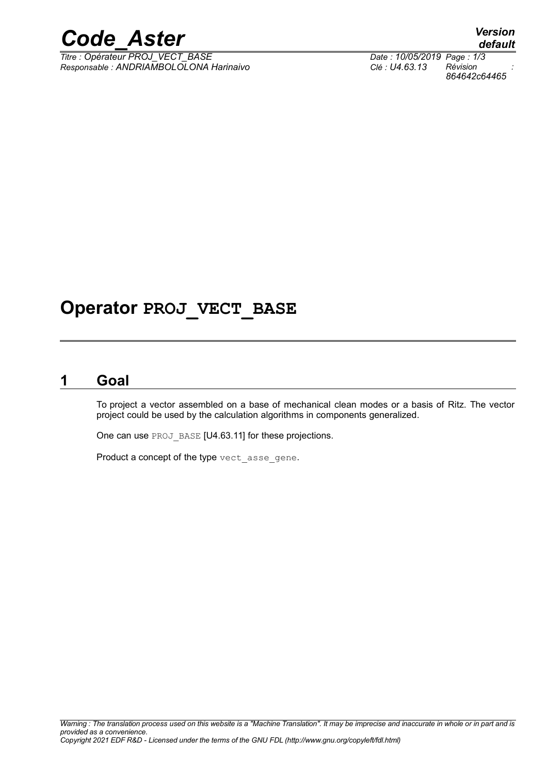## *Code\_Aster Version*

*Titre : Opérateur PROJ\_VECT\_BASE Date : 10/05/2019 Page : 1/3 Responsable : ANDRIAMBOLOLONA Harinaivo Clé : U4.63.13 Révision :*

## **Operator PROJ\_VECT\_BASE**

### **1 Goal**

To project a vector assembled on a base of mechanical clean modes or a basis of Ritz. The vector project could be used by the calculation algorithms in components generalized.

One can use PROJ\_BASE [U4.63.11] for these projections.

Product a concept of the type vect asse gene.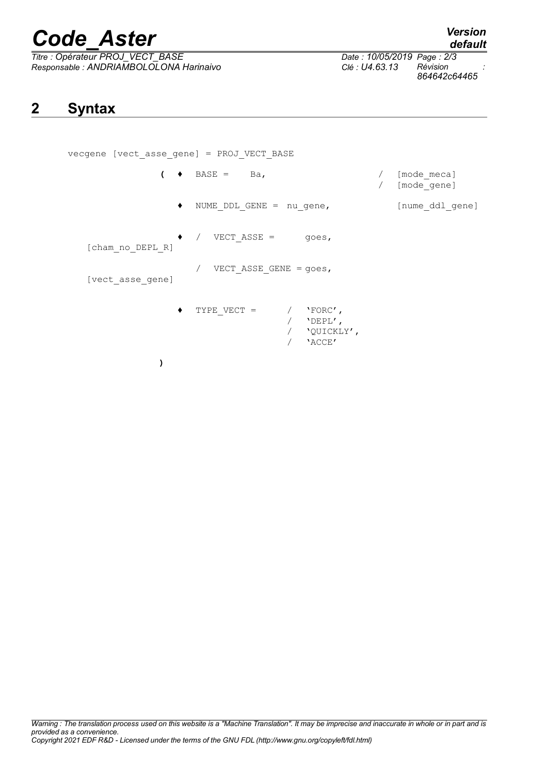# *Code\_Aster Version*

*Titre : Opérateur PROJ\_VECT\_BASE Date : 10/05/2019 Page : 2/3 Responsable : ANDRIAMBOLOLONA Harinaivo Clé : U4.63.13 Révision :*

*default*

*864642c64465*

## **2 Syntax**

vecgene [vect\_asse\_gene] = PROJ\_VECT\_BASE  $($   $\bullet$  BASE = Ba,  $/$  [mode meca] / [mode\_gene] ♦ NUME\_DDL\_GENE = nu\_gene, [nume\_ddl\_gene]  $\sqrt{VECT_A SSE}$  = goes, [cham\_no\_DEPL\_R] / VECT ASSE GENE =  $goes,$ [vect\_asse\_gene]  $\begin{array}{ccccccccc} \texttt{TYPE} & \texttt{VECT} & = & / & \texttt{YFORC} \end{array} \text{\LARGE ,}$ / 'DEPL', / 'QUICKLY', / 'ACCE' **)**